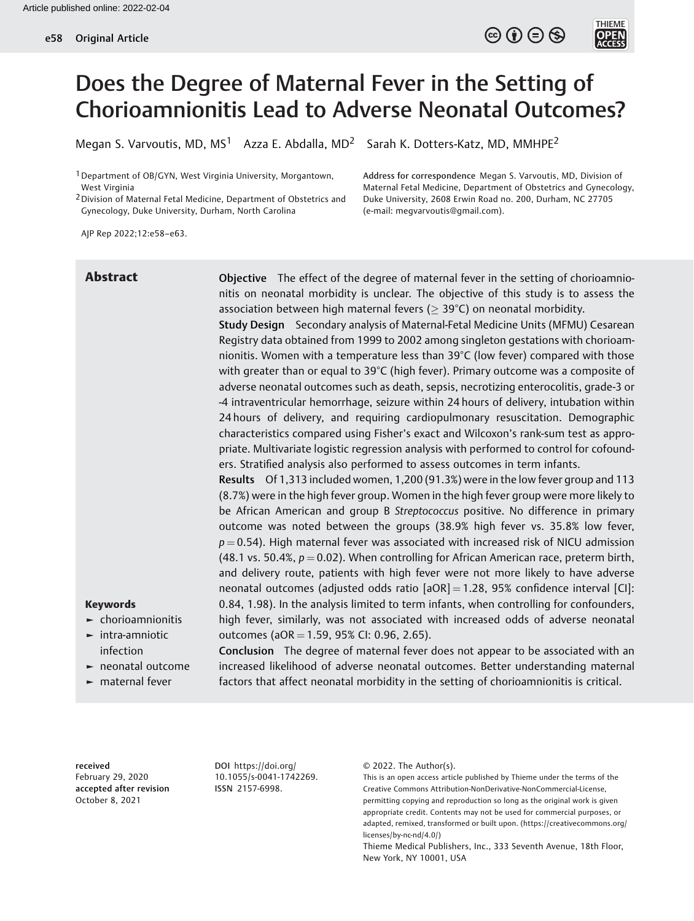

Megan S. Varvoutis, MD, MS<sup>1</sup> Azza E. Abdalla, MD<sup>2</sup> Sarah K. Dotters-Katz, MD, MMHPE<sup>2</sup>

1Department of OB/GYN, West Virginia University, Morgantown, West Virginia

2Division of Maternal Fetal Medicine, Department of Obstetrics and Gynecology, Duke University, Durham, North Carolina

Address for correspondence Megan S. Varvoutis, MD, Division of Maternal Fetal Medicine, Department of Obstetrics and Gynecology, Duke University, 2608 Erwin Road no. 200, Durham, NC 27705 (e-mail: [megvarvoutis@gmail.com\)](mailto:megvarvoutis@gmail.com).

 $\circledcirc$   $\circledcirc$   $\circledcirc$ 

**THIEME** 

AJP Rep 2022;12:e58–e63.

Abstract Objective The effect of the degree of maternal fever in the setting of chorioamnionitis on neonatal morbidity is unclear. The objective of this study is to assess the association between high maternal fevers ( $>$  39 $\degree$ C) on neonatal morbidity.

> Study Design Secondary analysis of Maternal-Fetal Medicine Units (MFMU) Cesarean Registry data obtained from 1999 to 2002 among singleton gestations with chorioamnionitis. Women with a temperature less than 39°C (low fever) compared with those with greater than or equal to 39°C (high fever). Primary outcome was a composite of adverse neonatal outcomes such as death, sepsis, necrotizing enterocolitis, grade-3 or -4 intraventricular hemorrhage, seizure within 24 hours of delivery, intubation within 24 hours of delivery, and requiring cardiopulmonary resuscitation. Demographic characteristics compared using Fisher's exact and Wilcoxon's rank-sum test as appropriate. Multivariate logistic regression analysis with performed to control for cofounders. Stratified analysis also performed to assess outcomes in term infants.

> Results Of 1,313 included women, 1,200 (91.3%) were in the low fever group and 113 (8.7%) were in the high fever group. Women in the high fever group were more likely to be African American and group B Streptococcus positive. No difference in primary outcome was noted between the groups (38.9% high fever vs. 35.8% low fever,  $p = 0.54$ ). High maternal fever was associated with increased risk of NICU admission (48.1 vs. 50.4%,  $p = 0.02$ ). When controlling for African American race, preterm birth, and delivery route, patients with high fever were not more likely to have adverse neonatal outcomes (adjusted odds ratio  $[aOR] = 1.28$ , 95% confidence interval  $[C]$ : 0.84, 1.98). In the analysis limited to term infants, when controlling for confounders, high fever, similarly, was not associated with increased odds of adverse neonatal outcomes (aOR = 1.59, 95% CI: 0.96, 2.65).

# Keywords

- ► chorioamnionitis ► intra-amniotic
- infection
- ► neonatal outcome
- ► maternal fever

Conclusion The degree of maternal fever does not appear to be associated with an increased likelihood of adverse neonatal outcomes. Better understanding maternal factors that affect neonatal morbidity in the setting of chorioamnionitis is critical.

received February 29, 2020 accepted after revision October 8, 2021

DOI [https://doi.org/](https://doi.org/10.1055/s-0041-1742269) [10.1055/s-0041-1742269](https://doi.org/10.1055/s-0041-1742269). ISSN 2157-6998.

© 2022. The Author(s).

This is an open access article published by Thieme under the terms of the Creative Commons Attribution-NonDerivative-NonCommercial-License, permitting copying and reproduction so long as the original work is given appropriate credit. Contents may not be used for commercial purposes, or adapted, remixed, transformed or built upon. (https://creativecommons.org/ licenses/by-nc-nd/4.0/)

Thieme Medical Publishers, Inc., 333 Seventh Avenue, 18th Floor, New York, NY 10001, USA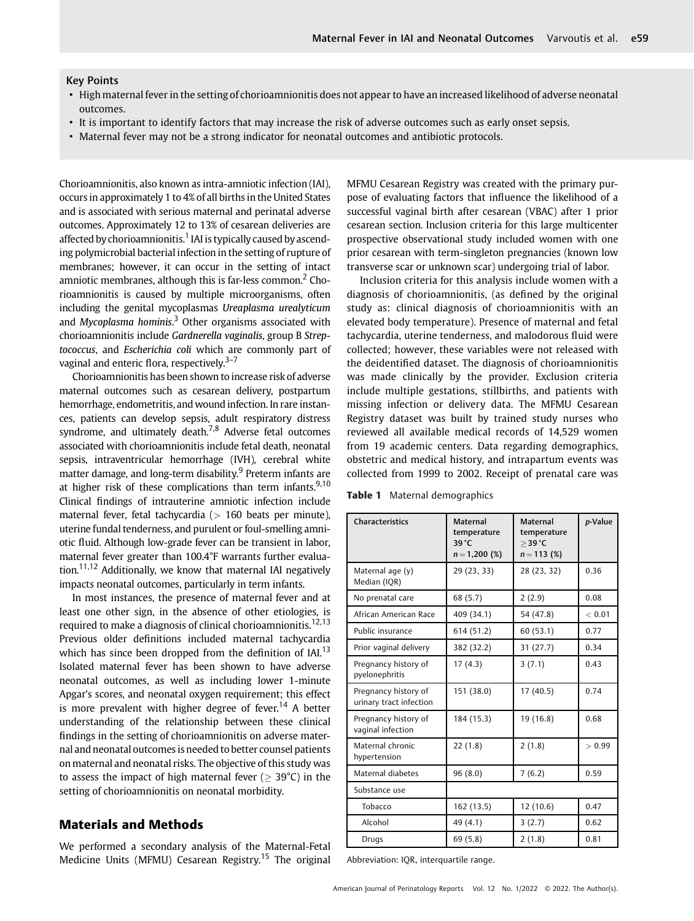#### Key Points

- High maternal fever in the setting of chorioamnionitis does not appear to have an increased likelihood of adverse neonatal outcomes.
- It is important to identify factors that may increase the risk of adverse outcomes such as early onset sepsis.
- Maternal fever may not be a strong indicator for neonatal outcomes and antibiotic protocols.

Chorioamnionitis, also known as intra-amniotic infection (IAI), occurs in approximately 1 to 4% of all births in the United States and is associated with serious maternal and perinatal adverse outcomes. Approximately 12 to 13% of cesarean deliveries are affected by chorioamnionitis.<sup>1</sup> IAI is typically caused by ascending polymicrobial bacterial infection in the setting of rupture of membranes; however, it can occur in the setting of intact amniotic membranes, although this is far-less common.<sup>2</sup> Chorioamnionitis is caused by multiple microorganisms, often including the genital mycoplasmas Ureaplasma urealyticum and Mycoplasma hominis.<sup>3</sup> Other organisms associated with chorioamnionitis include Gardnerella vaginalis, group B Streptococcus, and Escherichia coli which are commonly part of vaginal and enteric flora, respectively. $3-7$ 

Chorioamnionitis has been shown to increase risk of adverse maternal outcomes such as cesarean delivery, postpartum hemorrhage, endometritis, and wound infection. In rare instances, patients can develop sepsis, adult respiratory distress syndrome, and ultimately death.<sup>7,8</sup> Adverse fetal outcomes associated with chorioamnionitis include fetal death, neonatal sepsis, intraventricular hemorrhage (IVH), cerebral white matter damage, and long-term disability.<sup>9</sup> Preterm infants are at higher risk of these complications than term infants. $9,10$ Clinical findings of intrauterine amniotic infection include maternal fever, fetal tachycardia ( $> 160$  beats per minute), uterine fundal tenderness, and purulent or foul-smelling amniotic fluid. Although low-grade fever can be transient in labor, maternal fever greater than 100.4°F warrants further evaluation.<sup>11,12</sup> Additionally, we know that maternal IAI negatively impacts neonatal outcomes, particularly in term infants.

In most instances, the presence of maternal fever and at least one other sign, in the absence of other etiologies, is required to make a diagnosis of clinical chorioamnionitis.<sup>12,13</sup> Previous older definitions included maternal tachycardia which has since been dropped from the definition of  $IAI<sup>13</sup>$ Isolated maternal fever has been shown to have adverse neonatal outcomes, as well as including lower 1-minute Apgar's scores, and neonatal oxygen requirement; this effect is more prevalent with higher degree of fever.<sup>14</sup> A better understanding of the relationship between these clinical findings in the setting of chorioamnionitis on adverse maternal and neonatal outcomes is needed to better counsel patients on maternal and neonatal risks. The objective of this study was to assess the impact of high maternal fever ( $>$  39 $^{\circ}$ C) in the setting of chorioamnionitis on neonatal morbidity.

# Materials and Methods

We performed a secondary analysis of the Maternal-Fetal Medicine Units (MFMU) Cesarean Registry.<sup>15</sup> The original MFMU Cesarean Registry was created with the primary purpose of evaluating factors that influence the likelihood of a successful vaginal birth after cesarean (VBAC) after 1 prior cesarean section. Inclusion criteria for this large multicenter prospective observational study included women with one prior cesarean with term-singleton pregnancies (known low transverse scar or unknown scar) undergoing trial of labor.

Inclusion criteria for this analysis include women with a diagnosis of chorioamnionitis, (as defined by the original study as: clinical diagnosis of chorioamnionitis with an elevated body temperature). Presence of maternal and fetal tachycardia, uterine tenderness, and malodorous fluid were collected; however, these variables were not released with the deidentified dataset. The diagnosis of chorioamnionitis was made clinically by the provider. Exclusion criteria include multiple gestations, stillbirths, and patients with missing infection or delivery data. The MFMU Cesarean Registry dataset was built by trained study nurses who reviewed all available medical records of 14,529 women from 19 academic centers. Data regarding demographics, obstetric and medical history, and intrapartum events was collected from 1999 to 2002. Receipt of prenatal care was

Table 1 Maternal demographics

| <b>Characteristics</b>                          | <b>Maternal</b><br>temperature<br>39°C<br>$n = 1,200$ (%) | <b>Maternal</b><br>temperature<br>$>$ 39 °C<br>$n = 113$ (%) | p-Value |
|-------------------------------------------------|-----------------------------------------------------------|--------------------------------------------------------------|---------|
| Maternal age (y)<br>Median (IQR)                | 29 (23, 33)                                               | 28 (23, 32)                                                  | 0.36    |
| No prenatal care                                | 68 (5.7)                                                  | 2(2.9)                                                       | 0.08    |
| African American Race                           | 409 (34.1)                                                | 54 (47.8)                                                    | < 0.01  |
| Public insurance                                | 614 (51.2)                                                | 60(53.1)                                                     | 0.77    |
| Prior vaginal delivery                          | 382 (32.2)                                                | 31(27.7)                                                     | 0.34    |
| Pregnancy history of<br>pyelonephritis          | 17(4.3)                                                   | 3(7.1)                                                       | 0.43    |
| Pregnancy history of<br>urinary tract infection | 151 (38.0)                                                | 17(40.5)                                                     | 0.74    |
| Pregnancy history of<br>vaginal infection       | 184 (15.3)                                                | 19 (16.8)                                                    | 0.68    |
| Maternal chronic<br>hypertension                | 22(1.8)                                                   | 2(1.8)                                                       | > 0.99  |
| Maternal diabetes                               | 96(8.0)                                                   | 7(6.2)                                                       | 0.59    |
| Substance use                                   |                                                           |                                                              |         |
| Tobacco                                         | 162 (13.5)                                                | 12(10.6)                                                     | 0.47    |
| Alcohol                                         | 49 (4.1)                                                  | 3(2.7)                                                       | 0.62    |
| Drugs                                           | 69(5.8)                                                   | 2(1.8)                                                       | 0.81    |

Abbreviation: IQR, interquartile range.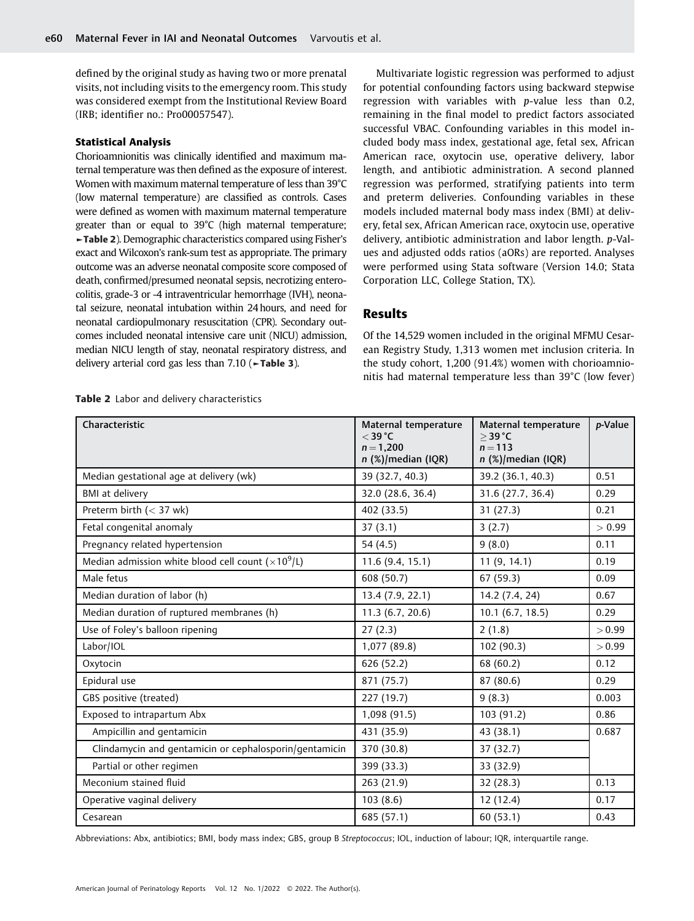defined by the original study as having two or more prenatal visits, not including visits to the emergency room. This study was considered exempt from the Institutional Review Board (IRB; identifier no.: Pro00057547).

#### Statistical Analysis

Chorioamnionitis was clinically identified and maximum maternal temperature was then defined as the exposure of interest. Women with maximum maternal temperature of less than 39°C (low maternal temperature) are classified as controls. Cases were defined as women with maximum maternal temperature greater than or equal to 39°C (high maternal temperature; ►Table 2). Demographic characteristics compared using Fisher's exact and Wilcoxon's rank-sum test as appropriate. The primary outcome was an adverse neonatal composite score composed of death, confirmed/presumed neonatal sepsis, necrotizing enterocolitis, grade-3 or -4 intraventricular hemorrhage (IVH), neonatal seizure, neonatal intubation within 24 hours, and need for neonatal cardiopulmonary resuscitation (CPR). Secondary outcomes included neonatal intensive care unit (NICU) admission, median NICU length of stay, neonatal respiratory distress, and delivery arterial cord gas less than  $7.10$  ( $\blacktriangleright$ Table 3).

Multivariate logistic regression was performed to adjust for potential confounding factors using backward stepwise regression with variables with p-value less than 0.2, remaining in the final model to predict factors associated successful VBAC. Confounding variables in this model included body mass index, gestational age, fetal sex, African American race, oxytocin use, operative delivery, labor length, and antibiotic administration. A second planned regression was performed, stratifying patients into term and preterm deliveries. Confounding variables in these models included maternal body mass index (BMI) at delivery, fetal sex, African American race, oxytocin use, operative delivery, antibiotic administration and labor length. p-Values and adjusted odds ratios (aORs) are reported. Analyses were performed using Stata software (Version 14.0; Stata Corporation LLC, College Station, TX).

# Results

Of the 14,529 women included in the original MFMU Cesarean Registry Study, 1,313 women met inclusion criteria. In the study cohort, 1,200 (91.4%) women with chorioamnionitis had maternal temperature less than 39°C (low fever)

| Characteristic                                              | Maternal temperature<br>$<$ 39 °C<br>$n = 1,200$<br>n (%)/median (IQR) | Maternal temperature<br>$>$ 39 °C<br>$n = 113$<br>n (%)/median (IQR) | p-Value |
|-------------------------------------------------------------|------------------------------------------------------------------------|----------------------------------------------------------------------|---------|
| Median gestational age at delivery (wk)                     | 39 (32.7, 40.3)                                                        | 39.2 (36.1, 40.3)                                                    | 0.51    |
| <b>BMI</b> at delivery                                      | 32.0 (28.6, 36.4)                                                      | 31.6 (27.7, 36.4)                                                    | 0.29    |
| Preterm birth $(< 37$ wk)                                   | 402 (33.5)                                                             | 31(27.3)                                                             | 0.21    |
| Fetal congenital anomaly                                    | 37(3.1)                                                                | 3(2.7)                                                               | > 0.99  |
| Pregnancy related hypertension                              | 54 $(4.5)$                                                             | 9(8.0)                                                               | 0.11    |
| Median admission white blood cell count ( $\times 10^9$ /L) | 11.6 (9.4, 15.1)                                                       | 11(9, 14.1)                                                          | 0.19    |
| Male fetus                                                  | 608 (50.7)                                                             | 67(59.3)                                                             | 0.09    |
| Median duration of labor (h)                                | 13.4 (7.9, 22.1)                                                       | 14.2 (7.4, 24)                                                       | 0.67    |
| Median duration of ruptured membranes (h)                   | 11.3(6.7, 20.6)                                                        | 10.1(6.7, 18.5)                                                      | 0.29    |
| Use of Foley's balloon ripening                             | 27(2.3)                                                                | 2(1.8)                                                               | > 0.99  |
| Labor/IOL                                                   | 1,077 (89.8)                                                           | 102 (90.3)                                                           | > 0.99  |
| Oxytocin                                                    | 626 (52.2)                                                             | 68 (60.2)                                                            | 0.12    |
| Epidural use                                                | 871 (75.7)                                                             | 87 (80.6)                                                            | 0.29    |
| GBS positive (treated)                                      | 227 (19.7)                                                             | 9(8.3)                                                               | 0.003   |
| Exposed to intrapartum Abx                                  | 1,098 (91.5)                                                           | 103 (91.2)                                                           | 0.86    |
| Ampicillin and gentamicin                                   | 431 (35.9)                                                             | 43 (38.1)                                                            | 0.687   |
| Clindamycin and gentamicin or cephalosporin/gentamicin      | 370 (30.8)                                                             | 37 (32.7)                                                            |         |
| Partial or other regimen                                    | 399 (33.3)                                                             | 33 (32.9)                                                            |         |
| Meconium stained fluid                                      | 263 (21.9)                                                             | 32 (28.3)                                                            | 0.13    |
| Operative vaginal delivery                                  | 103(8.6)                                                               | 12 (12.4)                                                            | 0.17    |
| Cesarean                                                    | 685 (57.1)                                                             | 60(53.1)                                                             | 0.43    |

Table 2 Labor and delivery characteristics

Abbreviations: Abx, antibiotics; BMI, body mass index; GBS, group B Streptococcus; IOL, induction of labour; IQR, interquartile range.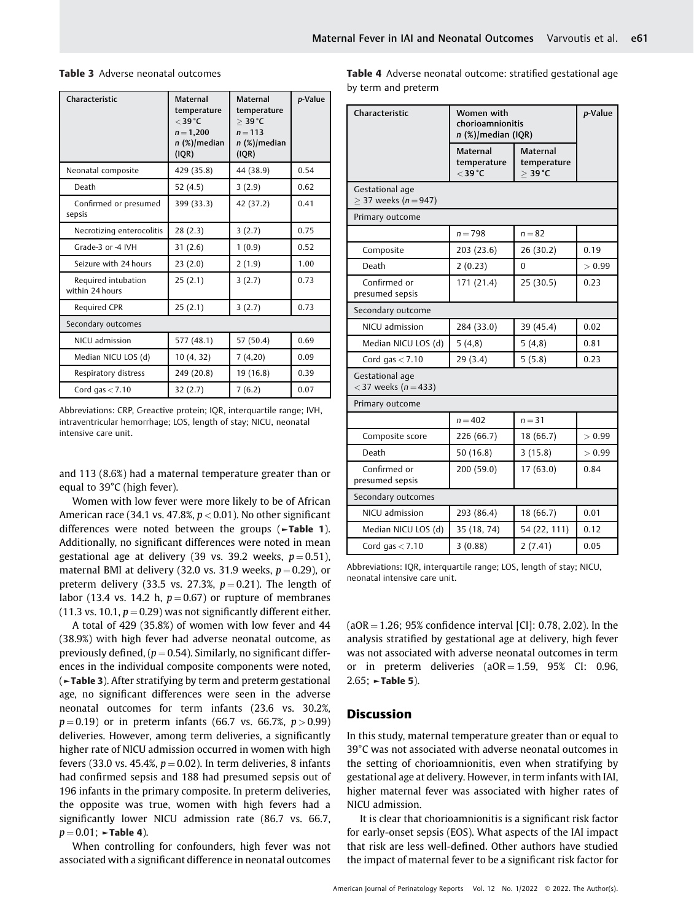| Characteristic                         | <b>Maternal</b><br>temperature<br>$<$ 39 °C<br>$n = 1,200$<br>$n$ (%)/median<br>(IQR) | <b>Maternal</b><br>temperature<br>$>$ 39 °C<br>$n = 113$<br>n (%)/median<br>(IQR) | p-Value |
|----------------------------------------|---------------------------------------------------------------------------------------|-----------------------------------------------------------------------------------|---------|
| Neonatal composite                     | 429 (35.8)                                                                            | 44 (38.9)                                                                         | 0.54    |
| Death                                  | 52 (4.5)                                                                              | 3(2.9)                                                                            | 0.62    |
| Confirmed or presumed<br>sepsis        | 399 (33.3)                                                                            | 42 (37.2)                                                                         | 0.41    |
| Necrotizing enterocolitis              | 28 (2.3)                                                                              | 3(2.7)                                                                            | 0.75    |
| Grade-3 or -4 IVH                      | 31(2.6)                                                                               | 1(0.9)                                                                            | 0.52    |
| Seizure with 24 hours                  | 23 (2.0)                                                                              | 2(1.9)                                                                            | 1.00    |
| Required intubation<br>within 24 hours | 25(2.1)                                                                               | 3(2.7)                                                                            | 0.73    |
| Required CPR                           | 25(2.1)                                                                               | 3(2.7)                                                                            | 0.73    |
| Secondary outcomes                     |                                                                                       |                                                                                   |         |
| NICU admission                         | 577 (48.1)                                                                            | 57 (50.4)                                                                         | 0.69    |
| Median NICU LOS (d)                    | 10(4, 32)                                                                             | 7(4,20)                                                                           | 0.09    |
| Respiratory distress                   | 249 (20.8)                                                                            | 19 (16.8)                                                                         | 0.39    |
| Cord gas $<$ 7.10                      | 32(2.7)                                                                               | 7(6.2)                                                                            | 0.07    |

### Table 3 Adverse neonatal outcomes

Abbreviations: CRP, C-reactive protein; IQR, interquartile range; IVH, intraventricular hemorrhage; LOS, length of stay; NICU, neonatal intensive care unit.

and 113 (8.6%) had a maternal temperature greater than or equal to 39°C (high fever).

Women with low fever were more likely to be of African American race (34.1 vs. 47.8%,  $p < 0.01$ ). No other significant differences were noted between the groups (►Table 1). Additionally, no significant differences were noted in mean gestational age at delivery (39 vs. 39.2 weeks,  $p = 0.51$ ), maternal BMI at delivery (32.0 vs. 31.9 weeks,  $p = 0.29$ ), or preterm delivery (33.5 vs. 27.3%,  $p=0.21$ ). The length of labor (13.4 vs. 14.2 h,  $p = 0.67$ ) or rupture of membranes (11.3 vs. 10.1,  $p = 0.29$ ) was not significantly different either.

A total of 429 (35.8%) of women with low fever and 44 (38.9%) with high fever had adverse neonatal outcome, as previously defined,  $(p = 0.54)$ . Similarly, no significant differences in the individual composite components were noted, (►Table 3). After stratifying by term and preterm gestational age, no significant differences were seen in the adverse neonatal outcomes for term infants (23.6 vs. 30.2%,  $p = 0.19$ ) or in preterm infants (66.7 vs. 66.7%,  $p > 0.99$ ) deliveries. However, among term deliveries, a significantly higher rate of NICU admission occurred in women with high fevers (33.0 vs. 45.4%,  $p = 0.02$ ). In term deliveries, 8 infants had confirmed sepsis and 188 had presumed sepsis out of 196 infants in the primary composite. In preterm deliveries, the opposite was true, women with high fevers had a significantly lower NICU admission rate (86.7 vs. 66.7,  $p = 0.01$ ;  $\blacktriangleright$ Table 4).

When controlling for confounders, high fever was not associated with a significant difference in neonatal outcomes Table 4 Adverse neonatal outcome: stratified gestational age by term and preterm

| Characteristic                              | Women with<br>chorioamnionitis<br>$n$ (%)/median (IQR) |                                                       | p-Value |
|---------------------------------------------|--------------------------------------------------------|-------------------------------------------------------|---------|
|                                             | <b>Maternal</b><br>temperature<br>$<$ 39 °C            | <b>Maternal</b><br>temperature<br>$>$ 39 $^{\circ}$ C |         |
| Gestational age<br>$>$ 37 weeks (n = 947)   |                                                        |                                                       |         |
| Primary outcome                             |                                                        |                                                       |         |
|                                             | $n = 798$                                              | $n = 82$                                              |         |
| Composite                                   | 203 (23.6)                                             | 26(30.2)                                              | 0.19    |
| Death                                       | 2(0.23)                                                | $\theta$                                              | > 0.99  |
| Confirmed or<br>presumed sepsis             | 171 (21.4)                                             | 25 (30.5)                                             | 0.23    |
| Secondary outcome                           |                                                        |                                                       |         |
| NICU admission                              | 284 (33.0)                                             | 39 (45.4)                                             | 0.02    |
| Median NICU LOS (d)                         | 5(4,8)                                                 | 5(4,8)                                                | 0.81    |
| Cord gas $< 7.10$                           | 29 (3.4)                                               | 5(5.8)                                                | 0.23    |
| Gestational age<br>< 37 weeks ( $n = 433$ ) |                                                        |                                                       |         |
| Primary outcome                             |                                                        |                                                       |         |
|                                             | $n = 402$                                              | $n = 31$                                              |         |
| Composite score                             | 226 (66.7)                                             | 18 (66.7)                                             | > 0.99  |
| Death                                       | 50 (16.8)                                              | 3(15.8)                                               | > 0.99  |
| Confirmed or<br>presumed sepsis             | 200 (59.0)                                             | 17(63.0)                                              | 0.84    |
| Secondary outcomes                          |                                                        |                                                       |         |
| NICU admission                              | 293 (86.4)                                             | 18 (66.7)                                             | 0.01    |
| Median NICU LOS (d)                         | 35 (18, 74)                                            | 54 (22, 111)                                          | 0.12    |
| Cord gas $< 7.10$                           | 3(0.88)                                                | 2(7.41)                                               | 0.05    |

Abbreviations: IQR, interquartile range; LOS, length of stay; NICU, neonatal intensive care unit.

 $(aOR = 1.26; 95%$  confidence interval [CI]: 0.78, 2.02). In the analysis stratified by gestational age at delivery, high fever was not associated with adverse neonatal outcomes in term or in preterm deliveries  $(aOR = 1.59, 95\%$  CI: 0.96,  $2.65$ ;  $\sim$ Table 5).

## **Discussion**

In this study, maternal temperature greater than or equal to 39°C was not associated with adverse neonatal outcomes in the setting of chorioamnionitis, even when stratifying by gestational age at delivery. However, in term infants with IAI, higher maternal fever was associated with higher rates of NICU admission.

It is clear that chorioamnionitis is a significant risk factor for early-onset sepsis (EOS). What aspects of the IAI impact that risk are less well-defined. Other authors have studied the impact of maternal fever to be a significant risk factor for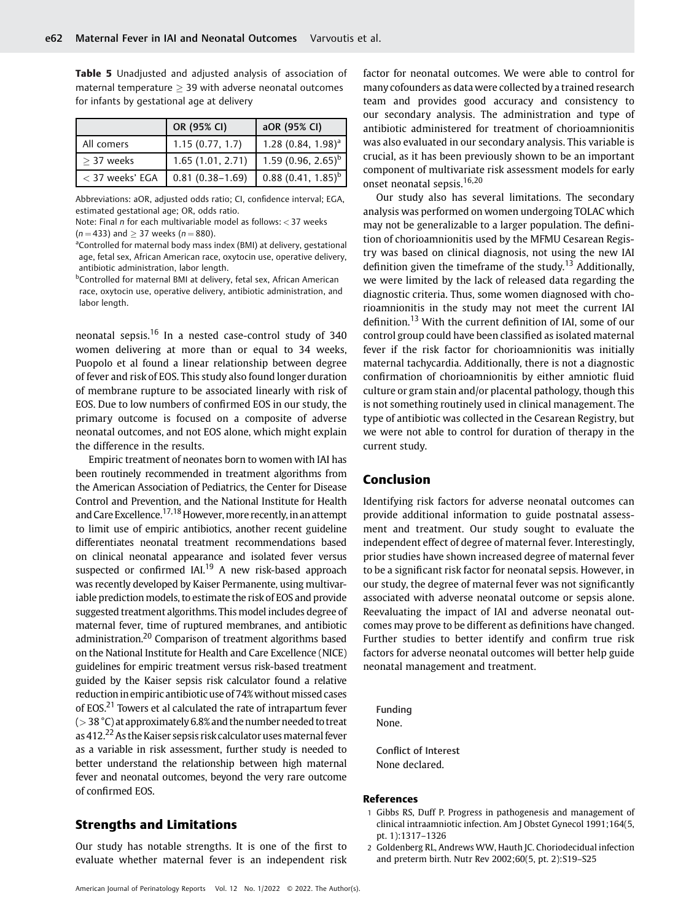Table 5 Unadjusted and adjusted analysis of association of maternal temperature  $\geq$  39 with adverse neonatal outcomes for infants by gestational age at delivery

|                 | OR (95% CI)         | aOR (95% CI)                   |
|-----------------|---------------------|--------------------------------|
| All comers      | 1.15(0.77, 1.7)     | $1.28(0.84, 1.98)^{a}$         |
| $>$ 37 weeks    | 1.65(1.01, 2.71)    | 1.59 (0.96, 2.65) <sup>b</sup> |
| < 37 weeks' EGA | $0.81(0.38 - 1.69)$ | $0.88(0.41, 1.85)^{b}$         |

Abbreviations: aOR, adjusted odds ratio; CI, confidence interval; EGA, estimated gestational age; OR, odds ratio.

Note: Final n for each multivariable model as follows: < 37 weeks  $(n = 433)$  and  $> 37$  weeks  $(n = 880)$ .

<sup>a</sup>Controlled for maternal body mass index (BMI) at delivery, gestational age, fetal sex, African American race, oxytocin use, operative delivery, antibiotic administration, labor length.

<sup>b</sup>Controlled for maternal BMI at delivery, fetal sex, African American race, oxytocin use, operative delivery, antibiotic administration, and labor length.

neonatal sepsis.<sup>16</sup> In a nested case-control study of 340 women delivering at more than or equal to 34 weeks, Puopolo et al found a linear relationship between degree of fever and risk of EOS. This study also found longer duration of membrane rupture to be associated linearly with risk of EOS. Due to low numbers of confirmed EOS in our study, the primary outcome is focused on a composite of adverse neonatal outcomes, and not EOS alone, which might explain the difference in the results.

Empiric treatment of neonates born to women with IAI has been routinely recommended in treatment algorithms from the American Association of Pediatrics, the Center for Disease Control and Prevention, and the National Institute for Health and Care Excellence.<sup>17,18</sup> However, more recently, in an attempt to limit use of empiric antibiotics, another recent guideline differentiates neonatal treatment recommendations based on clinical neonatal appearance and isolated fever versus suspected or confirmed  $IAI<sup>19</sup>$  A new risk-based approach was recently developed by Kaiser Permanente, using multivariable prediction models, to estimate the risk of EOS and provide suggested treatment algorithms. This model includes degree of maternal fever, time of ruptured membranes, and antibiotic administration.<sup>20</sup> Comparison of treatment algorithms based on the National Institute for Health and Care Excellence (NICE) guidelines for empiric treatment versus risk-based treatment guided by the Kaiser sepsis risk calculator found a relative reduction in empiric antibiotic use of 74% without missed cases of EOS.<sup>21</sup> Towers et al calculated the rate of intrapartum fever  $(> 38 °C)$  at approximately 6.8% and the number needed to treat as 412.<sup>22</sup> As the Kaiser sepsis risk calculator uses maternal fever as a variable in risk assessment, further study is needed to better understand the relationship between high maternal fever and neonatal outcomes, beyond the very rare outcome of confirmed EOS.

# Strengths and Limitations

Our study has notable strengths. It is one of the first to evaluate whether maternal fever is an independent risk factor for neonatal outcomes. We were able to control for many cofounders as data were collected by a trained research team and provides good accuracy and consistency to our secondary analysis. The administration and type of antibiotic administered for treatment of chorioamnionitis was also evaluated in our secondary analysis. This variable is crucial, as it has been previously shown to be an important component of multivariate risk assessment models for early onset neonatal sepsis.16,20

Our study also has several limitations. The secondary analysis was performed on women undergoing TOLAC which may not be generalizable to a larger population. The definition of chorioamnionitis used by the MFMU Cesarean Registry was based on clinical diagnosis, not using the new IAI definition given the timeframe of the study.<sup>13</sup> Additionally, we were limited by the lack of released data regarding the diagnostic criteria. Thus, some women diagnosed with chorioamnionitis in the study may not meet the current IAI definition.<sup>13</sup> With the current definition of IAI, some of our control group could have been classified as isolated maternal fever if the risk factor for chorioamnionitis was initially maternal tachycardia. Additionally, there is not a diagnostic confirmation of chorioamnionitis by either amniotic fluid culture or gram stain and/or placental pathology, though this is not something routinely used in clinical management. The type of antibiotic was collected in the Cesarean Registry, but we were not able to control for duration of therapy in the current study.

# Conclusion

Identifying risk factors for adverse neonatal outcomes can provide additional information to guide postnatal assessment and treatment. Our study sought to evaluate the independent effect of degree of maternal fever. Interestingly, prior studies have shown increased degree of maternal fever to be a significant risk factor for neonatal sepsis. However, in our study, the degree of maternal fever was not significantly associated with adverse neonatal outcome or sepsis alone. Reevaluating the impact of IAI and adverse neonatal outcomes may prove to be different as definitions have changed. Further studies to better identify and confirm true risk factors for adverse neonatal outcomes will better help guide neonatal management and treatment.

Funding None.

Conflict of Interest None declared.

#### References

- 1 Gibbs RS, Duff P. Progress in pathogenesis and management of clinical intraamniotic infection. Am J Obstet Gynecol 1991;164(5, pt. 1):1317–1326
- 2 Goldenberg RL, Andrews WW, Hauth JC. Choriodecidual infection and preterm birth. Nutr Rev 2002;60(5, pt. 2):S19–S25